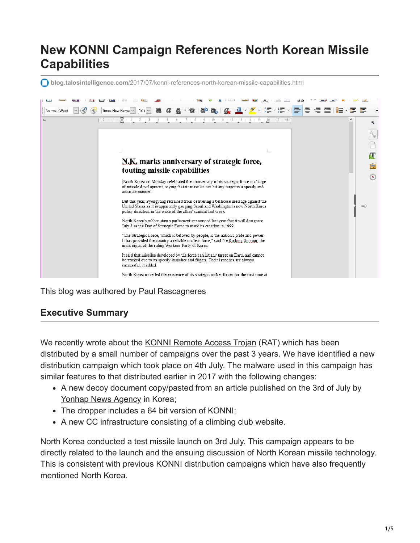# **New KONNI Campaign References North Korean Missile Capabilities**

**blog.talosintelligence.com**[/2017/07/konni-references-north-korean-missile-capabilities.html](http://blog.talosintelligence.com/2017/07/konni-references-north-korean-missile-capabilities.html)



This blog was authored by [Paul Rascagneres](https://www.blogger.com/profile/10073079939160046441)

# **Executive Summary**

We recently wrote about the [KONNI Remote Access Trojan](http://blog.talosintelligence.com/2017/05/konni-malware-under-radar-for-years.html) (RAT) which has been distributed by a small number of campaigns over the past 3 years. We have identified a new distribution campaign which took place on 4th July. The malware used in this campaign has similar features to that distributed earlier in 2017 with the following changes:

- A new decoy document copy/pasted from an article published on the 3rd of July by [Yonhap News Agency](http://english.yonhapnews.co.kr/news/2017/07/03/0200000000AEN20170703005100315.html) in Korea;
- The dropper includes a 64 bit version of KONNI;
- A new CC infrastructure consisting of a climbing club website.

North Korea conducted a test missile launch on 3rd July. This campaign appears to be directly related to the launch and the ensuing discussion of North Korean missile technology. This is consistent with previous KONNI distribution campaigns which have also frequently mentioned North Korea.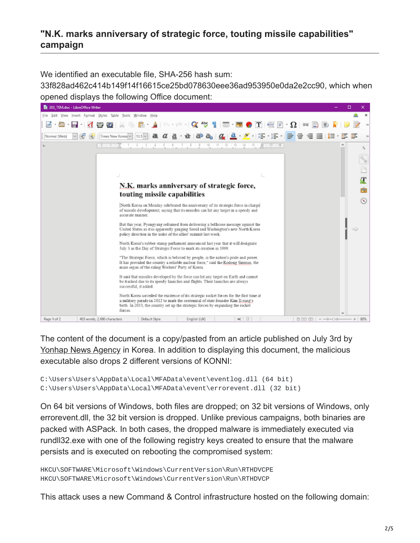### **"N.K. marks anniversary of strategic force, touting missile capabilities" campaign**

We identified an executable file, SHA-256 hash sum:

33f828ad462c414b149f14f16615ce25bd078630eee36ad953950e0da2e2cc90, which when opened displays the following Office document:



The content of the document is a copy/pasted from an article published on July 3rd by [Yonhap News Agency](http://english.yonhapnews.co.kr/news/2017/07/03/0200000000AEN20170703005100315.html) in Korea. In addition to displaying this document, the malicious executable also drops 2 different versions of KONNI:

```
C:\Users\Users\AppData\Local\MFAData\event\eventlog.dll (64 bit)
C:\Users\Users\AppData\Local\MFAData\event\errorevent.dll (32 bit)
```
On 64 bit versions of Windows, both files are dropped; on 32 bit versions of Windows, only errorevent.dll, the 32 bit version is dropped. Unlike previous campaigns, both binaries are packed with ASPack. In both cases, the dropped malware is immediately executed via rundll32.exe with one of the following registry keys created to ensure that the malware persists and is executed on rebooting the compromised system:

```
HKCU\SOFTWARE\Microsoft\Windows\CurrentVersion\Run\RTHDVCPE
HKCU\SOFTWARE\Microsoft\Windows\CurrentVersion\Run\RTHDVCP
```
This attack uses a new Command & Control infrastructure hosted on the following domain: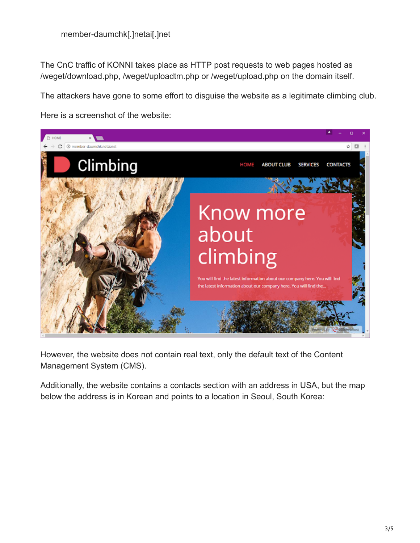The CnC traffic of KONNI takes place as HTTP post requests to web pages hosted as /weget/download.php, /weget/uploadtm.php or /weget/upload.php on the domain itself.

The attackers have gone to some effort to disguise the website as a legitimate climbing club.

Here is a screenshot of the website:



However, the website does not contain real text, only the default text of the Content Management System (CMS).

Additionally, the website contains a contacts section with an address in USA, but the map below the address is in Korean and points to a location in Seoul, South Korea: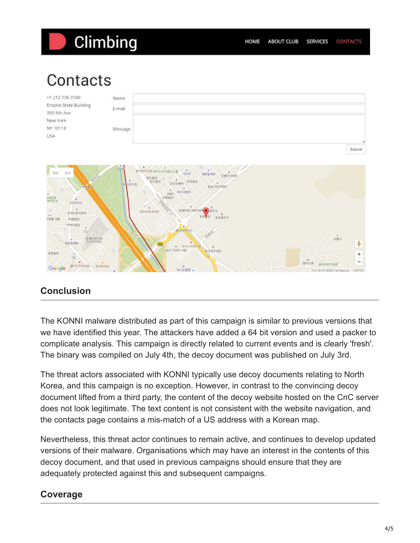# Climbing

# Contacts



# **Conclusion**

The KONNI malware distributed as part of this campaign is similar to previous versions that we have identified this year. The attackers have added a 64 bit version and used a packer to complicate analysis. This campaign is directly related to current events and is clearly 'fresh'. The binary was compiled on July 4th, the decoy document was published on July 3rd.

The threat actors associated with KONNI typically use decoy documents relating to North Korea, and this campaign is no exception. However, in contrast to the convincing decoy document lifted from a third party, the content of the decoy website hosted on the CnC server does not look legitimate. The text content is not consistent with the website navigation, and the contacts page contains a mis-match of a US address with a Korean map.

Nevertheless, this threat actor continues to remain active, and continues to develop updated versions of their malware. Organisations which may have an interest in the contents of this decoy document, and that used in previous campaigns should ensure that they are adequately protected against this and subsequent campaigns.

# **Coverage**